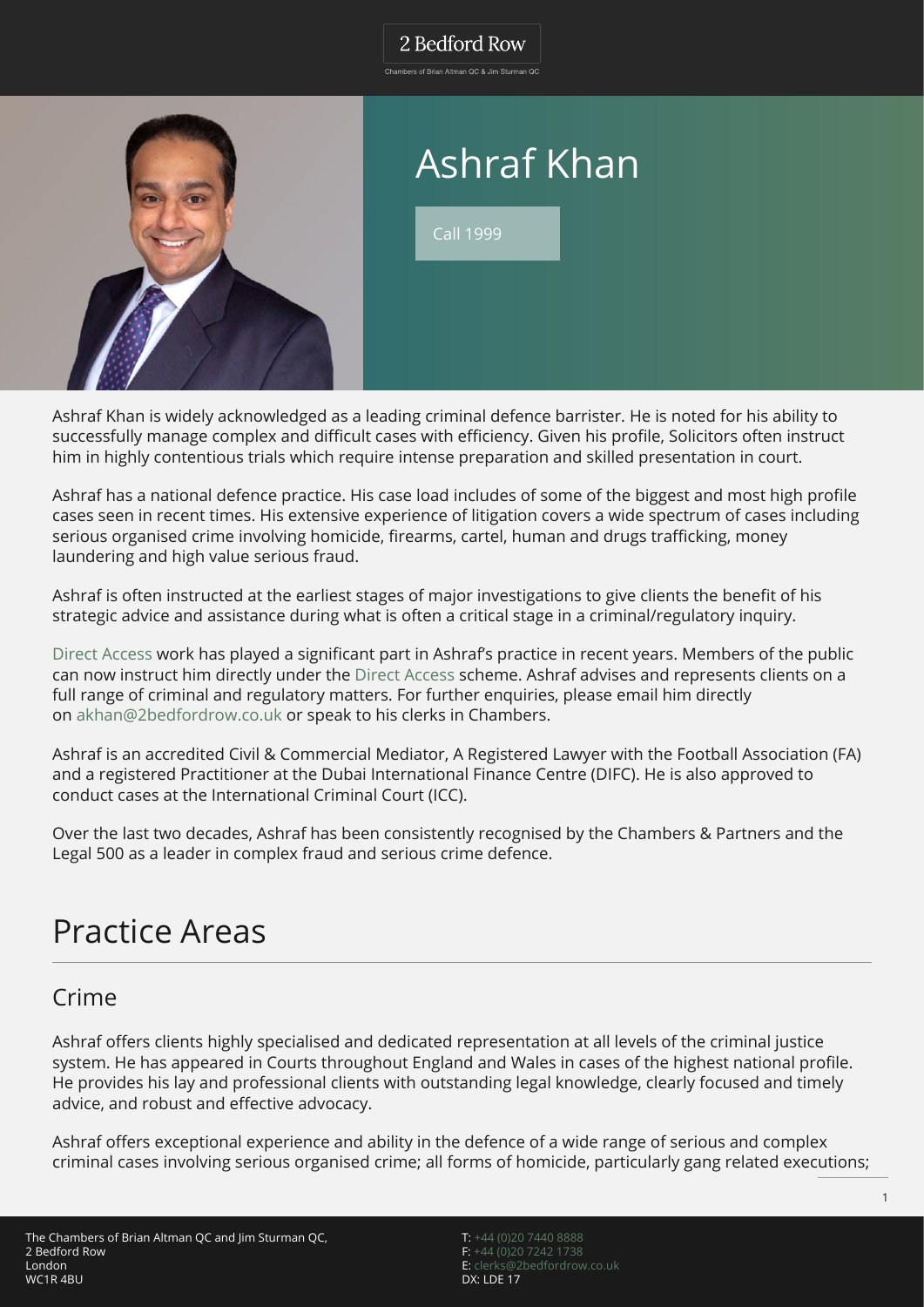#### 2 Bedford Row

.<br>Chambers of Brian Altman OC & Jim Sturman OC



# Ashraf Khan

Call 1999

Ashraf Khan is widely acknowledged as a leading criminal defence barrister. He is noted for his ability to successfully manage complex and difficult cases with efficiency. Given his profile, Solicitors often instruct him in highly contentious trials which require intense preparation and skilled presentation in court.

Ashraf has a national defence practice. His case load includes of some of the biggest and most high profile cases seen in recent times. His extensive experience of litigation covers a wide spectrum of cases including serious organised crime involving homicide, firearms, cartel, human and drugs trafficking, money laundering and high value serious fraud.

Ashraf is often instructed at the earliest stages of major investigations to give clients the benefit of his strategic advice and assistance during what is often a critical stage in a criminal/regulatory inquiry.

[Direct Access](https://www.2bedfordrow.co.uk/direct-access/) work has played a significant part in Ashraf's practice in recent years. Members of the public can now instruct him directly under the [Direct Access](https://www.2bedfordrow.co.uk/direct-access/) scheme. Ashraf advises and represents clients on a full range of criminal and regulatory matters. For further enquiries, please email him directly on [akhan@2bedfordrow.co.uk](mailto:akhan@2bedfordrow.co.uk) or speak to his clerks in Chambers.

Ashraf is an accredited Civil & Commercial Mediator, A Registered Lawyer with the Football Association (FA) and a registered Practitioner at the Dubai International Finance Centre (DIFC). He is also approved to conduct cases at the International Criminal Court (ICC).

Over the last two decades, Ashraf has been consistently recognised by the Chambers & Partners and the Legal 500 as a leader in complex fraud and serious crime defence.

# Practice Areas

### Crime

Ashraf offers clients highly specialised and dedicated representation at all levels of the criminal justice system. He has appeared in Courts throughout England and Wales in cases of the highest national profile. He provides his lay and professional clients with outstanding legal knowledge, clearly focused and timely advice, and robust and effective advocacy.

Ashraf offers exceptional experience and ability in the defence of a wide range of serious and complex criminal cases involving serious organised crime; all forms of homicide, particularly gang related executions;

T: [+44 \(0\)20 7440 8888](#page--1-0) F: [+44 \(0\)20 7242 1738](#page--1-0) E: [clerks@2bedfordrow.co.uk](mailto:clerks@2bedfordrow.co.uk) DX: LDE 17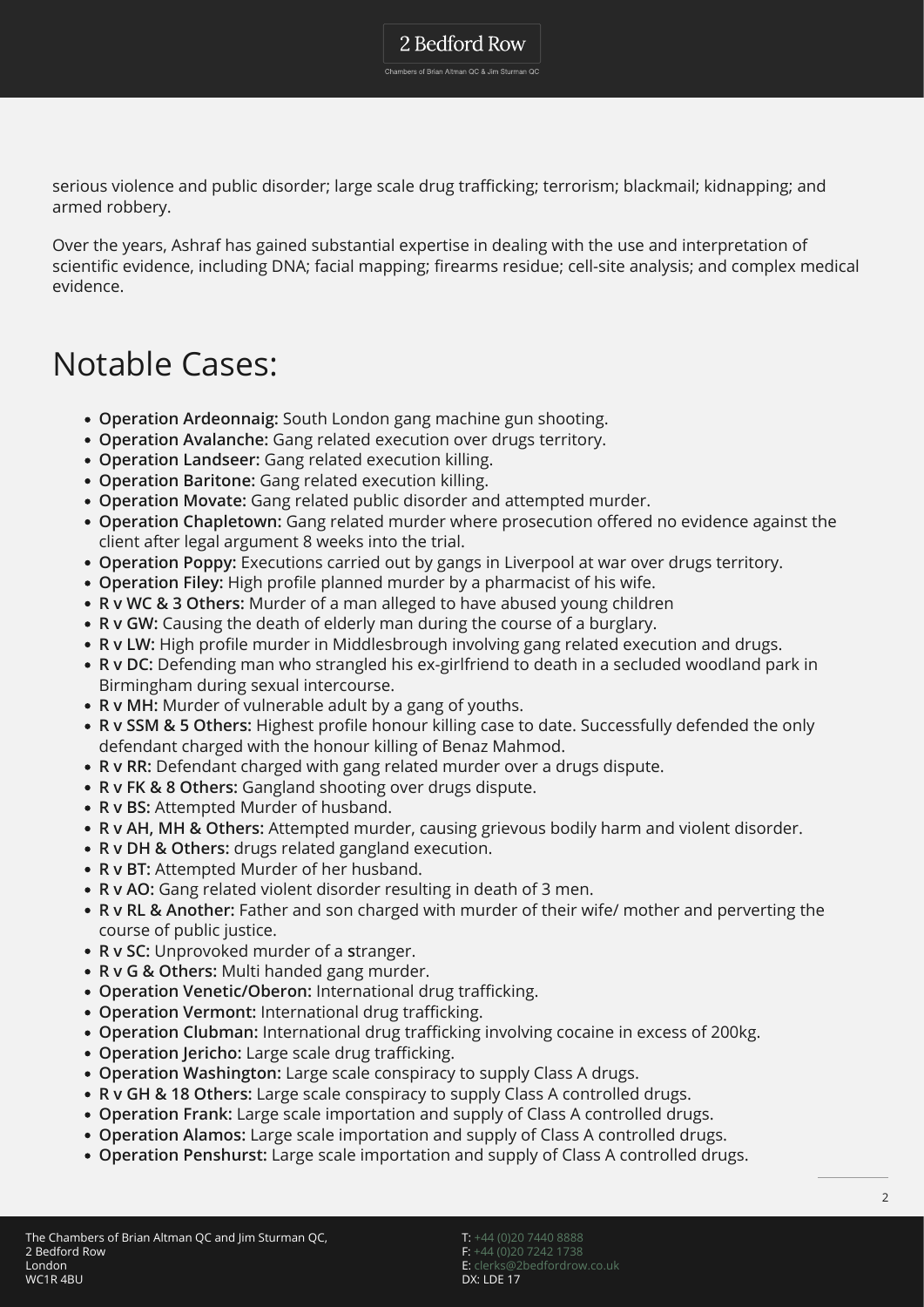Chambers of Brian Altman QC & Jim Sturman QC

serious violence and public disorder; large scale drug trafficking; terrorism; blackmail; kidnapping; and armed robbery.

Over the years, Ashraf has gained substantial expertise in dealing with the use and interpretation of scientific evidence, including DNA; facial mapping; firearms residue; cell-site analysis; and complex medical evidence.

## Notable Cases:

- **Operation Ardeonnaig:** South London gang machine gun shooting.
- **Operation Avalanche:** Gang related execution over drugs territory.
- **Operation Landseer:** Gang related execution killing.
- **Operation Baritone:** Gang related execution killing.
- **Operation Movate:** Gang related public disorder and attempted murder.
- **Operation Chapletown:** Gang related murder where prosecution offered no evidence against the client after legal argument 8 weeks into the trial.
- **Operation Poppy:** Executions carried out by gangs in Liverpool at war over drugs territory.
- **Operation Filey:** High profile planned murder by a pharmacist of his wife.
- **R v WC & 3 Others:** Murder of a man alleged to have abused young children
- **R v GW:** Causing the death of elderly man during the course of a burglary.
- **R v LW:** High profile murder in Middlesbrough involving gang related execution and drugs.
- **R v DC:** Defending man who strangled his ex-girlfriend to death in a secluded woodland park in Birmingham during sexual intercourse.
- **R v MH:** Murder of vulnerable adult by a gang of youths.
- **R v SSM & 5 Others:** Highest profile honour killing case to date. Successfully defended the only defendant charged with the honour killing of Benaz Mahmod.
- **R v RR:** Defendant charged with gang related murder over a drugs dispute.
- **R v FK & 8 Others:** Gangland shooting over drugs dispute.
- **R v BS:** Attempted Murder of husband.
- **R v AH, MH & Others:** Attempted murder, causing grievous bodily harm and violent disorder.
- **R v DH & Others:** drugs related gangland execution.
- **R v BT:** Attempted Murder of her husband.
- **R v AO:** Gang related violent disorder resulting in death of 3 men.
- **R v RL & Another:** Father and son charged with murder of their wife/ mother and perverting the course of public justice.
- **R v SC:** Unprovoked murder of a **s**tranger.
- **R v G & Others:** Multi handed gang murder.
- **Operation Venetic/Oberon:** International drug trafficking.
- **Operation Vermont:** International drug trafficking.
- **Operation Clubman:** International drug trafficking involving cocaine in excess of 200kg.
- **Operation Jericho:** Large scale drug trafficking.
- **Operation Washington:** Large scale conspiracy to supply Class A drugs.
- **R v GH & 18 Others:** Large scale conspiracy to supply Class A controlled drugs.
- **Operation Frank:** Large scale importation and supply of Class A controlled drugs.
- **Operation Alamos:** Large scale importation and supply of Class A controlled drugs.
- **Operation Penshurst:** Large scale importation and supply of Class A controlled drugs.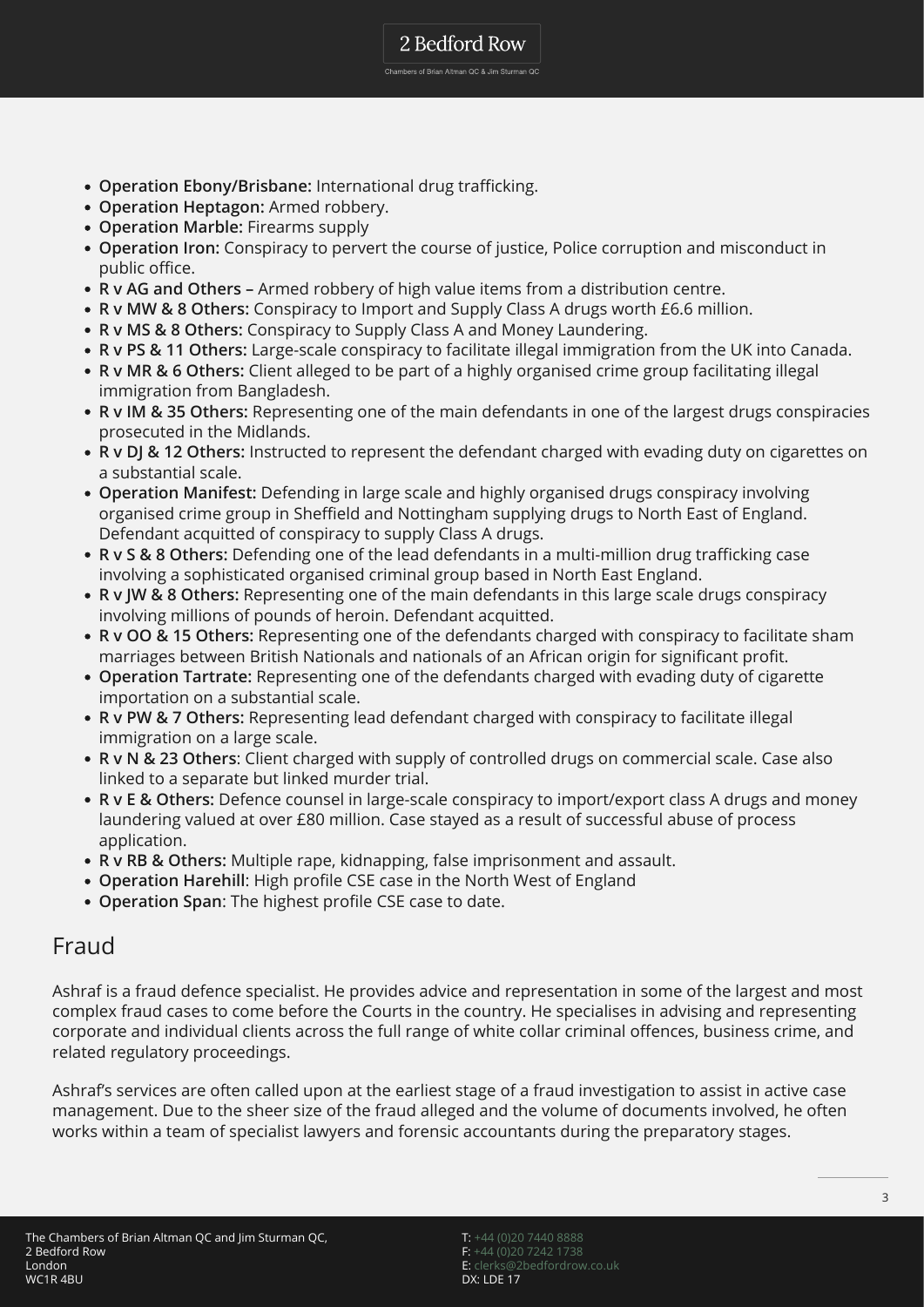2 Bedford Row Chambers of Brian Altman QC & Jim Sturman QC

- **Operation Ebony/Brisbane:** International drug trafficking.
- **Operation Heptagon:** Armed robbery.
- **Operation Marble:** Firearms supply
- **Operation Iron:** Conspiracy to pervert the course of justice, Police corruption and misconduct in public office.
- **R v AG and Others** Armed robbery of high value items from a distribution centre.
- **R v MW & 8 Others:** Conspiracy to Import and Supply Class A drugs worth £6.6 million.
- **R v MS & 8 Others:** Conspiracy to Supply Class A and Money Laundering.
- **R v PS & 11 Others:** Large-scale conspiracy to facilitate illegal immigration from the UK into Canada.
- **R v MR & 6 Others:** Client alleged to be part of a highly organised crime group facilitating illegal immigration from Bangladesh.
- **R v IM & 35 Others:** Representing one of the main defendants in one of the largest drugs conspiracies prosecuted in the Midlands.
- **R v DJ & 12 Others:** Instructed to represent the defendant charged with evading duty on cigarettes on a substantial scale.
- **Operation Manifest:** Defending in large scale and highly organised drugs conspiracy involving organised crime group in Sheffield and Nottingham supplying drugs to North East of England. Defendant acquitted of conspiracy to supply Class A drugs.
- **R v S & 8 Others:** Defending one of the lead defendants in a multi-million drug trafficking case involving a sophisticated organised criminal group based in North East England.
- **R v JW & 8 Others:** Representing one of the main defendants in this large scale drugs conspiracy involving millions of pounds of heroin. Defendant acquitted.
- **R v OO & 15 Others:** Representing one of the defendants charged with conspiracy to facilitate sham marriages between British Nationals and nationals of an African origin for significant profit.
- **Operation Tartrate:** Representing one of the defendants charged with evading duty of cigarette importation on a substantial scale.
- **R v PW & 7 Others:** Representing lead defendant charged with conspiracy to facilitate illegal immigration on a large scale.
- **R v N & 23 Others**: Client charged with supply of controlled drugs on commercial scale. Case also linked to a separate but linked murder trial.
- **R v E & Others:** Defence counsel in large-scale conspiracy to import/export class A drugs and money laundering valued at over £80 million. Case stayed as a result of successful abuse of process application.
- **R v RB & Others:** Multiple rape, kidnapping, false imprisonment and assault.
- **Operation Harehill**: High profile CSE case in the North West of England
- **Operation Span**: The highest profile CSE case to date.

#### Fraud

Ashraf is a fraud defence specialist. He provides advice and representation in some of the largest and most complex fraud cases to come before the Courts in the country. He specialises in advising and representing corporate and individual clients across the full range of white collar criminal offences, business crime, and related regulatory proceedings.

Ashraf's services are often called upon at the earliest stage of a fraud investigation to assist in active case management. Due to the sheer size of the fraud alleged and the volume of documents involved, he often works within a team of specialist lawyers and forensic accountants during the preparatory stages.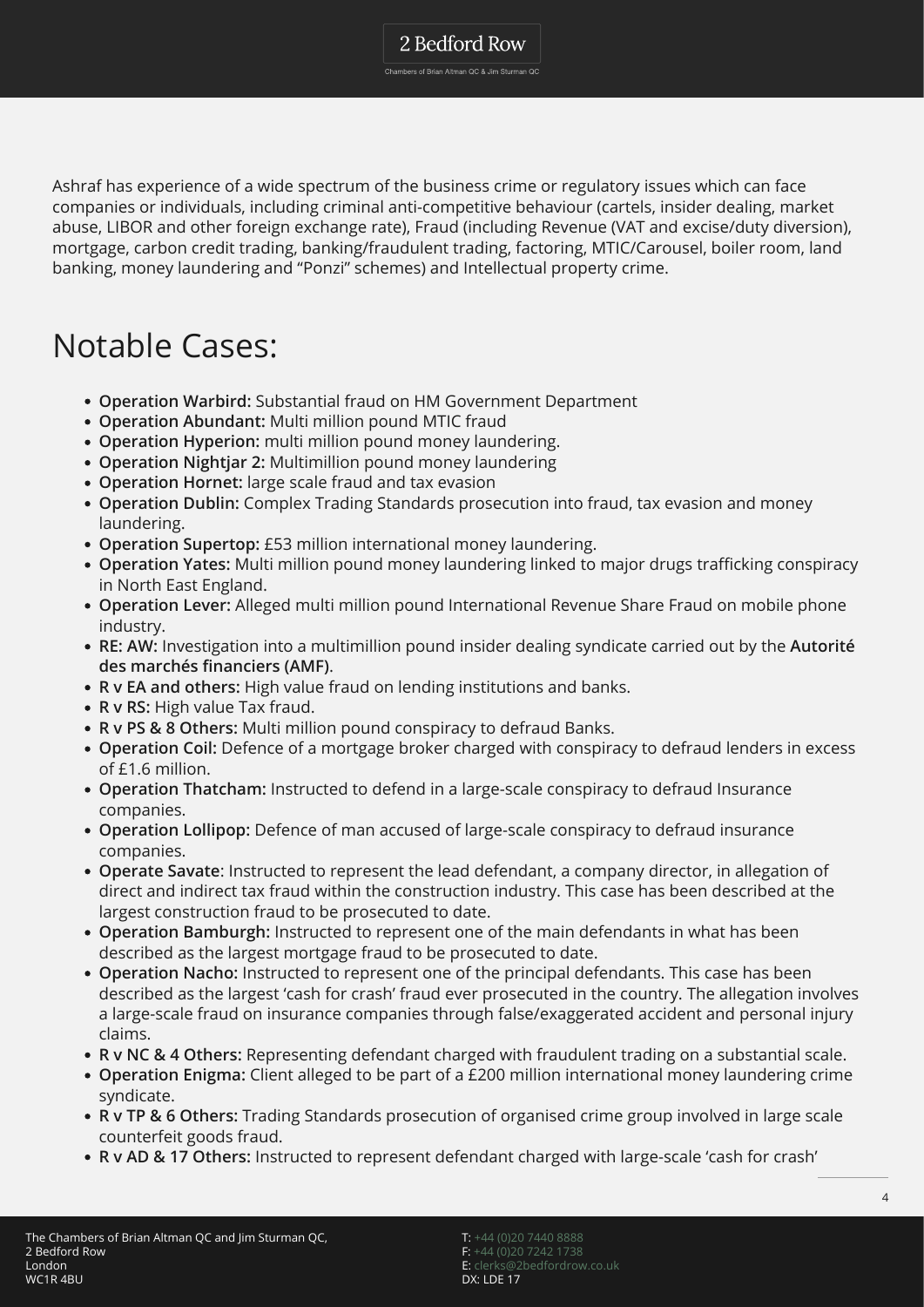Chambers of Brian Altman QC & Jim Sturman QC

Ashraf has experience of a wide spectrum of the business crime or regulatory issues which can face companies or individuals, including criminal anti-competitive behaviour (cartels, insider dealing, market abuse, LIBOR and other foreign exchange rate), Fraud (including Revenue (VAT and excise/duty diversion), mortgage, carbon credit trading, banking/fraudulent trading, factoring, MTIC/Carousel, boiler room, land banking, money laundering and "Ponzi" schemes) and Intellectual property crime.

## Notable Cases:

- **Operation Warbird:** Substantial fraud on HM Government Department
- **Operation Abundant:** Multi million pound MTIC fraud
- **Operation Hyperion:** multi million pound money laundering.
- **Operation Nightjar 2:** Multimillion pound money laundering
- **Operation Hornet:** large scale fraud and tax evasion
- **Operation Dublin:** Complex Trading Standards prosecution into fraud, tax evasion and money laundering.
- **Operation Supertop:** £53 million international money laundering.
- **Operation Yates:** Multi million pound money laundering linked to major drugs trafficking conspiracy in North East England.
- **Operation Lever:** Alleged multi million pound International Revenue Share Fraud on mobile phone industry.
- **RE: AW:** Investigation into a multimillion pound insider dealing syndicate carried out by the **Autorité des marchés financiers (AMF)**.
- **R v EA and others:** High value fraud on lending institutions and banks.
- **R v RS:** High value Tax fraud.
- **R v PS & 8 Others:** Multi million pound conspiracy to defraud Banks.
- **Operation Coil:** Defence of a mortgage broker charged with conspiracy to defraud lenders in excess of £1.6 million.
- **Operation Thatcham:** Instructed to defend in a large-scale conspiracy to defraud Insurance companies.
- **Operation Lollipop:** Defence of man accused of large-scale conspiracy to defraud insurance companies.
- **Operate Savate**: Instructed to represent the lead defendant, a company director, in allegation of direct and indirect tax fraud within the construction industry. This case has been described at the largest construction fraud to be prosecuted to date.
- **Operation Bamburgh:** Instructed to represent one of the main defendants in what has been described as the largest mortgage fraud to be prosecuted to date.
- **Operation Nacho:** Instructed to represent one of the principal defendants. This case has been described as the largest 'cash for crash' fraud ever prosecuted in the country. The allegation involves a large-scale fraud on insurance companies through false/exaggerated accident and personal injury claims.
- **R v NC & 4 Others:** Representing defendant charged with fraudulent trading on a substantial scale.
- **Operation Enigma:** Client alleged to be part of a £200 million international money laundering crime syndicate.
- **R v TP & 6 Others:** Trading Standards prosecution of organised crime group involved in large scale counterfeit goods fraud.
- **R v AD & 17 Others:** Instructed to represent defendant charged with large-scale 'cash for crash'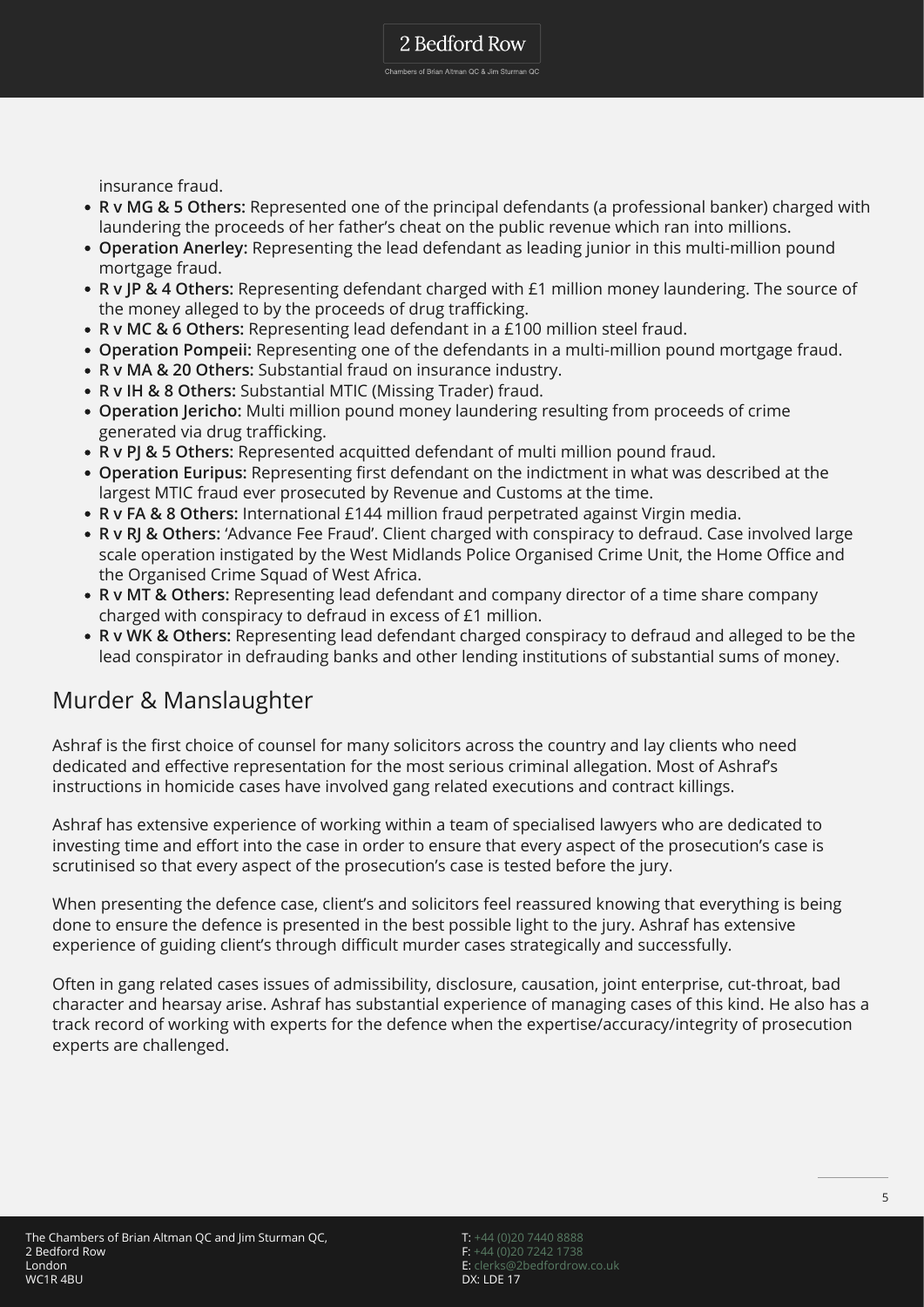insurance fraud.

- **R v MG & 5 Others:** Represented one of the principal defendants (a professional banker) charged with laundering the proceeds of her father's cheat on the public revenue which ran into millions.
- **Operation Anerley:** Representing the lead defendant as leading junior in this multi-million pound mortgage fraud.
- **R v JP & 4 Others:** Representing defendant charged with £1 million money laundering. The source of the money alleged to by the proceeds of drug trafficking.
- **R v MC & 6 Others:** Representing lead defendant in a £100 million steel fraud.
- **Operation Pompeii:** Representing one of the defendants in a multi-million pound mortgage fraud.
- **R v MA & 20 Others:** Substantial fraud on insurance industry.
- **R v IH & 8 Others:** Substantial MTIC (Missing Trader) fraud.
- **Operation Jericho:** Multi million pound money laundering resulting from proceeds of crime generated via drug trafficking.
- **R v PJ & 5 Others:** Represented acquitted defendant of multi million pound fraud.
- **Operation Euripus:** Representing first defendant on the indictment in what was described at the largest MTIC fraud ever prosecuted by Revenue and Customs at the time.
- **R v FA & 8 Others:** International £144 million fraud perpetrated against Virgin media.
- **R v RJ & Others:** 'Advance Fee Fraud'. Client charged with conspiracy to defraud. Case involved large scale operation instigated by the West Midlands Police Organised Crime Unit, the Home Office and the Organised Crime Squad of West Africa.
- **R v MT & Others:** Representing lead defendant and company director of a time share company charged with conspiracy to defraud in excess of £1 million.
- **R v WK & Others:** Representing lead defendant charged conspiracy to defraud and alleged to be the lead conspirator in defrauding banks and other lending institutions of substantial sums of money.

#### Murder & Manslaughter

Ashraf is the first choice of counsel for many solicitors across the country and lay clients who need dedicated and effective representation for the most serious criminal allegation. Most of Ashraf's instructions in homicide cases have involved gang related executions and contract killings.

Ashraf has extensive experience of working within a team of specialised lawyers who are dedicated to investing time and effort into the case in order to ensure that every aspect of the prosecution's case is scrutinised so that every aspect of the prosecution's case is tested before the jury.

When presenting the defence case, client's and solicitors feel reassured knowing that everything is being done to ensure the defence is presented in the best possible light to the jury. Ashraf has extensive experience of guiding client's through difficult murder cases strategically and successfully.

Often in gang related cases issues of admissibility, disclosure, causation, joint enterprise, cut-throat, bad character and hearsay arise. Ashraf has substantial experience of managing cases of this kind. He also has a track record of working with experts for the defence when the expertise/accuracy/integrity of prosecution experts are challenged.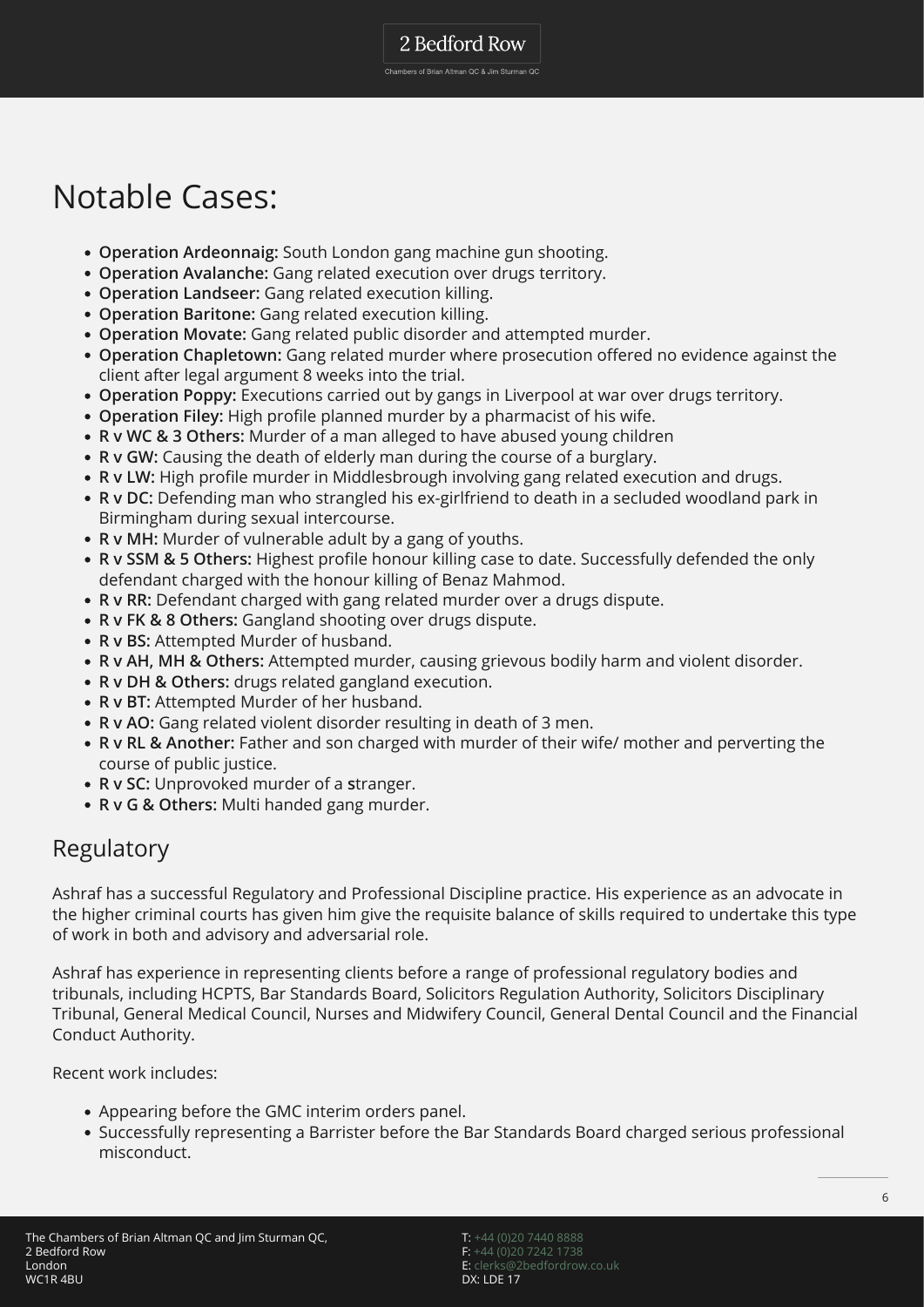### Notable Cases:

- **Operation Ardeonnaig:** South London gang machine gun shooting.
- **Operation Avalanche:** Gang related execution over drugs territory.
- **Operation Landseer:** Gang related execution killing.
- **Operation Baritone:** Gang related execution killing.
- **Operation Movate:** Gang related public disorder and attempted murder.
- **Operation Chapletown:** Gang related murder where prosecution offered no evidence against the client after legal argument 8 weeks into the trial.
- **Operation Poppy:** Executions carried out by gangs in Liverpool at war over drugs territory.
- **Operation Filey:** High profile planned murder by a pharmacist of his wife.
- **R v WC & 3 Others:** Murder of a man alleged to have abused young children
- **R v GW:** Causing the death of elderly man during the course of a burglary.
- **R v LW:** High profile murder in Middlesbrough involving gang related execution and drugs.
- **R v DC:** Defending man who strangled his ex-girlfriend to death in a secluded woodland park in Birmingham during sexual intercourse.
- **R v MH:** Murder of vulnerable adult by a gang of youths.
- **R v SSM & 5 Others:** Highest profile honour killing case to date. Successfully defended the only defendant charged with the honour killing of Benaz Mahmod.
- **R v RR:** Defendant charged with gang related murder over a drugs dispute.
- **R v FK & 8 Others:** Gangland shooting over drugs dispute.
- **R v BS:** Attempted Murder of husband.
- **R v AH, MH & Others:** Attempted murder, causing grievous bodily harm and violent disorder.
- **R v DH & Others:** drugs related gangland execution.
- **R v BT:** Attempted Murder of her husband.
- **R v AO:** Gang related violent disorder resulting in death of 3 men.
- **R v RL & Another:** Father and son charged with murder of their wife/ mother and perverting the course of public justice.
- **R v SC:** Unprovoked murder of a **s**tranger.
- **R v G & Others:** Multi handed gang murder.

#### Regulatory

Ashraf has a successful Regulatory and Professional Discipline practice. His experience as an advocate in the higher criminal courts has given him give the requisite balance of skills required to undertake this type of work in both and advisory and adversarial role.

Ashraf has experience in representing clients before a range of professional regulatory bodies and tribunals, including HCPTS, Bar Standards Board, Solicitors Regulation Authority, Solicitors Disciplinary Tribunal, General Medical Council, Nurses and Midwifery Council, General Dental Council and the Financial Conduct Authority.

Recent work includes:

- Appearing before the GMC interim orders panel.
- Successfully representing a Barrister before the Bar Standards Board charged serious professional misconduct.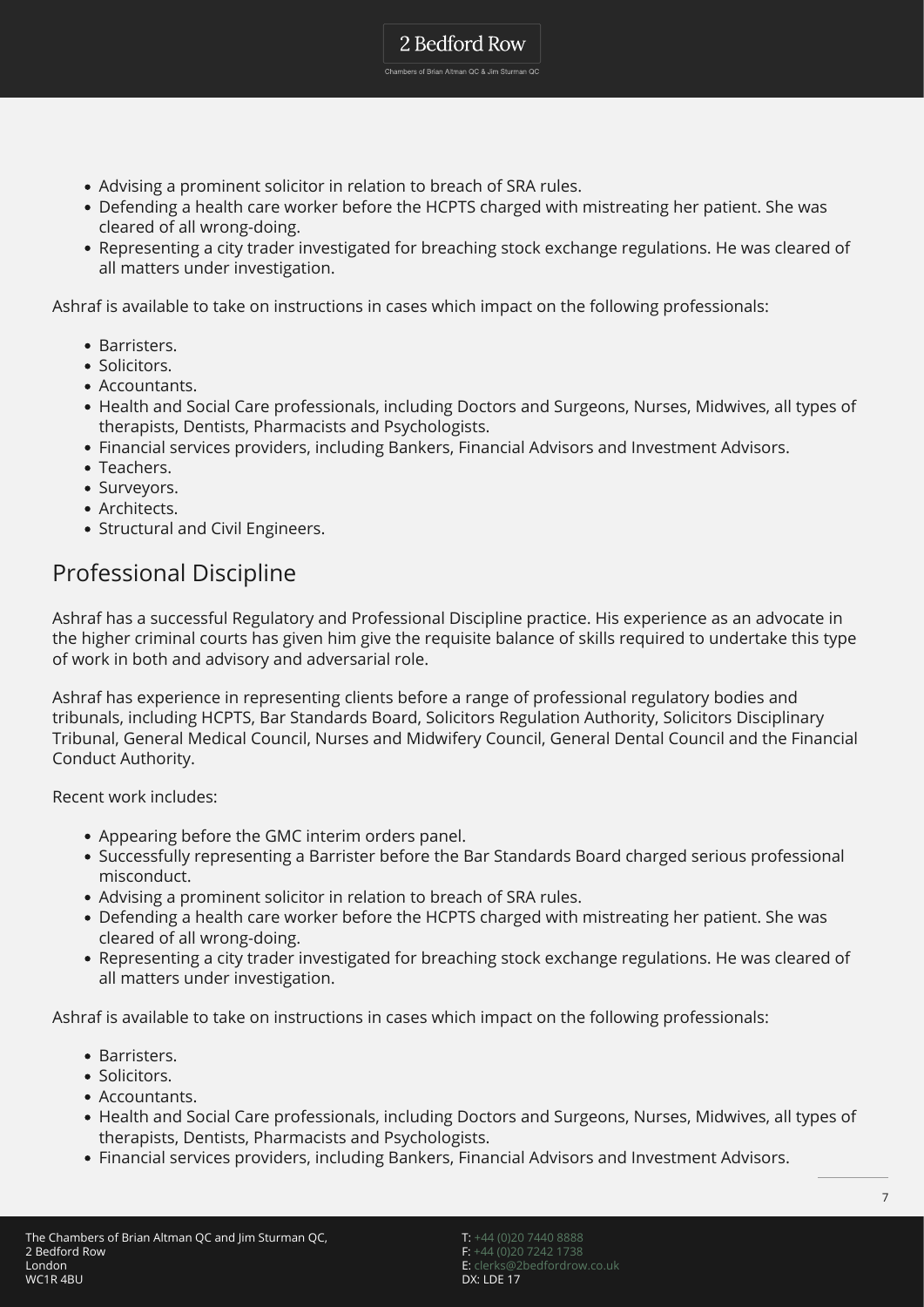- Advising a prominent solicitor in relation to breach of SRA rules.
- Defending a health care worker before the HCPTS charged with mistreating her patient. She was cleared of all wrong-doing.

2 Bedford Row Chambers of Brian Altman QC & Jim Sturman QC

Representing a city trader investigated for breaching stock exchange regulations. He was cleared of all matters under investigation.

Ashraf is available to take on instructions in cases which impact on the following professionals:

- Barristers.
- · Solicitors.
- Accountants.
- Health and Social Care professionals, including Doctors and Surgeons, Nurses, Midwives, all types of therapists, Dentists, Pharmacists and Psychologists.
- Financial services providers, including Bankers, Financial Advisors and Investment Advisors.
- Teachers.
- Surveyors.
- Architects.
- Structural and Civil Engineers.

### Professional Discipline

Ashraf has a successful Regulatory and Professional Discipline practice. His experience as an advocate in the higher criminal courts has given him give the requisite balance of skills required to undertake this type of work in both and advisory and adversarial role.

Ashraf has experience in representing clients before a range of professional regulatory bodies and tribunals, including HCPTS, Bar Standards Board, Solicitors Regulation Authority, Solicitors Disciplinary Tribunal, General Medical Council, Nurses and Midwifery Council, General Dental Council and the Financial Conduct Authority.

Recent work includes:

- Appearing before the GMC interim orders panel.
- Successfully representing a Barrister before the Bar Standards Board charged serious professional misconduct.
- Advising a prominent solicitor in relation to breach of SRA rules.
- Defending a health care worker before the HCPTS charged with mistreating her patient. She was cleared of all wrong-doing.
- Representing a city trader investigated for breaching stock exchange regulations. He was cleared of all matters under investigation.

Ashraf is available to take on instructions in cases which impact on the following professionals:

- Barristers.
- Solicitors.
- Accountants.
- Health and Social Care professionals, including Doctors and Surgeons, Nurses, Midwives, all types of therapists, Dentists, Pharmacists and Psychologists.
- Financial services providers, including Bankers, Financial Advisors and Investment Advisors.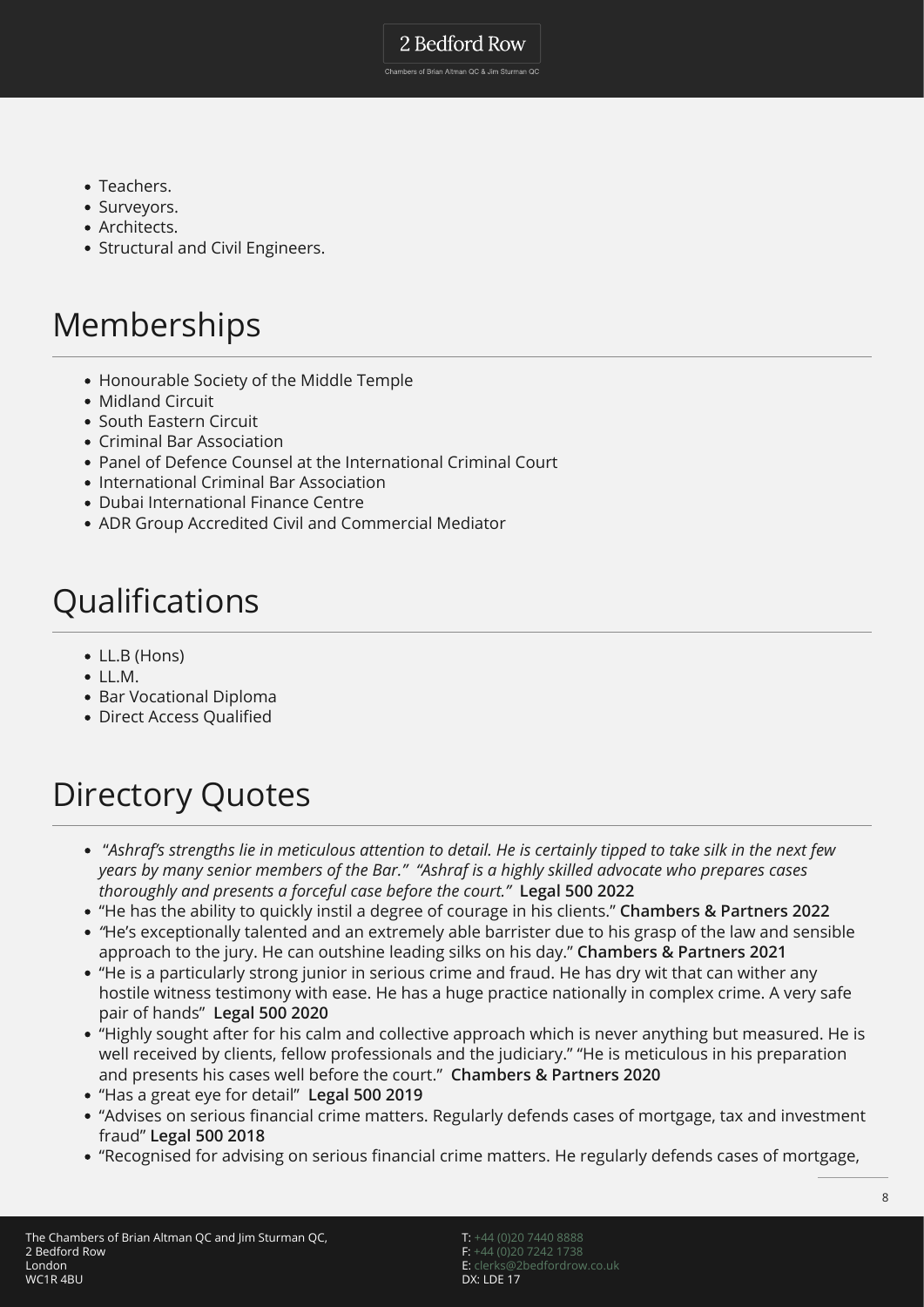2 Bedford Row

Chambers of Brian Altman QC & Jim Sturman QC

- Teachers.
- Surveyors.
- Architects.
- Structural and Civil Engineers.

## Memberships

- Honourable Society of the Middle Temple
- Midland Circuit
- South Eastern Circuit
- Criminal Bar Association
- Panel of Defence Counsel at the International Criminal Court
- International Criminal Bar Association
- Dubai International Finance Centre
- ADR Group Accredited Civil and Commercial Mediator

# Qualifications

- LL.B (Hons)
- $\bullet$  LL.M.
- Bar Vocational Diploma
- Direct Access Qualified

# Directory Quotes

- "*Ashraf's strengths lie in meticulous attention to detail. He is certainly tipped to take silk in the next few years by many senior members of the Bar." "Ashraf is a highly skilled advocate who prepares cases thoroughly and presents a forceful case before the court."* **Legal 500 2022**
- "He has the ability to quickly instil a degree of courage in his clients." **Chambers & Partners 2022**
- *"*He's exceptionally talented and an extremely able barrister due to his grasp of the law and sensible approach to the jury. He can outshine leading silks on his day." **Chambers & Partners 2021**
- "He is a particularly strong junior in serious crime and fraud. He has dry wit that can wither any hostile witness testimony with ease. He has a huge practice nationally in complex crime. A very safe pair of hands" **Legal 500 2020**
- "Highly sought after for his calm and collective approach which is never anything but measured. He is well received by clients, fellow professionals and the judiciary." "He is meticulous in his preparation and presents his cases well before the court." **Chambers & Partners 2020**
- "Has a great eye for detail" **Legal 500 2019**
- "Advises on serious financial crime matters. Regularly defends cases of mortgage, tax and investment fraud" **Legal 500 2018**
- "Recognised for advising on serious financial crime matters. He regularly defends cases of mortgage,